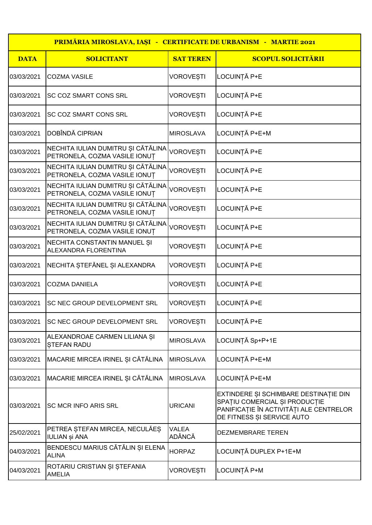| <b>PRIMĂRIA MIROSLAVA, IAȘI - CERTIFICATE DE URBANISM - MARTIE 2021</b> |                                                                     |                               |                                                                                                                                                 |
|-------------------------------------------------------------------------|---------------------------------------------------------------------|-------------------------------|-------------------------------------------------------------------------------------------------------------------------------------------------|
| <b>DATA</b>                                                             | <b>SOLICITANT</b>                                                   | <b>SAT TEREN</b>              | <b>SCOPUL SOLICITĂRII</b>                                                                                                                       |
| 03/03/2021                                                              | <b>COZMA VASILE</b>                                                 | <b>VOROVESTI</b>              | LOCUINȚĂ P+E                                                                                                                                    |
| 03/03/2021                                                              | <b>SC COZ SMART CONS SRL</b>                                        | <b>VOROVESTI</b>              | LOCUINȚĂ P+E                                                                                                                                    |
| 03/03/2021                                                              | <b>SC COZ SMART CONS SRL</b>                                        | <b>VOROVESTI</b>              | LOCUINȚĂ P+E                                                                                                                                    |
| 03/03/2021                                                              | DOBÎNDĂ CIPRIAN                                                     | <b>MIROSLAVA</b>              | LOCUINȚĂ P+E+M                                                                                                                                  |
| 03/03/2021                                                              | NECHITA IULIAN DUMITRU ȘI CĂTĂLINA<br>PETRONELA, COZMA VASILE IONUT | <b>VOROVESTI</b>              | LOCUINȚĂ P+E                                                                                                                                    |
| 03/03/2021                                                              | NECHITA IULIAN DUMITRU ȘI CĂTĂLINA<br>PETRONELA, COZMA VASILE IONUȚ | <b>VOROVESTI</b>              | LOCUINȚĂ P+E                                                                                                                                    |
| 03/03/2021                                                              | NECHITA IULIAN DUMITRU ȘI CĂTĂLINA<br>PETRONELA, COZMA VASILE IONUT | <b>VOROVEȘTI</b>              | LOCUINȚĂ P+E                                                                                                                                    |
| 03/03/2021                                                              | NECHITA IULIAN DUMITRU ȘI CĂTĂLINA<br>PETRONELA, COZMA VASILE IONUT | <b>VOROVEȘTI</b>              | LOCUINȚĂ P+E                                                                                                                                    |
| 03/03/2021                                                              | NECHITA IULIAN DUMITRU ȘI CĂTĂLINA<br>PETRONELA, COZMA VASILE IONUT | <b>VOROVEȘTI</b>              | LOCUINȚĂ P+E                                                                                                                                    |
| 03/03/2021                                                              | NECHITA CONSTANTIN MANUEL SI<br>ALEXANDRA FLORENTINA                | <b>VOROVESTI</b>              | LOCUINȚĂ P+E                                                                                                                                    |
| 03/03/2021                                                              | NECHITA ȘTEFĂNEL ȘI ALEXANDRA                                       | <b>VOROVESTI</b>              | LOCUINȚĂ P+E                                                                                                                                    |
| 03/03/2021                                                              | <b>COZMA DANIELA</b>                                                | <b>VOROVESTI</b>              | LOCUINȚĂ P+E                                                                                                                                    |
| 03/03/2021                                                              | <b>SC NEC GROUP DEVELOPMENT SRL</b>                                 | <b>VOROVESTI</b>              | LOCUINȚĂ P+E                                                                                                                                    |
| 03/03/2021                                                              | <b>SC NEC GROUP DEVELOPMENT SRL</b>                                 | <b>VOROVESTI</b>              | LOCUINȚĂ P+E                                                                                                                                    |
| 03/03/2021                                                              | ALEXANDROAE CARMEN LILIANA ȘI<br><b>STEFAN RADU</b>                 | <b>MIROSLAVA</b>              | LOCUINȚĂ Sp+P+1E                                                                                                                                |
| 03/03/2021                                                              | MACARIE MIRCEA IRINEL ȘI CĂTĂLINA                                   | <b>MIROSLAVA</b>              | LOCUINȚĂ P+E+M                                                                                                                                  |
| 03/03/2021                                                              | MACARIE MIRCEA IRINEL ȘI CĂTĂLINA                                   | <b>MIROSLAVA</b>              | LOCUINȚĂ P+E+M                                                                                                                                  |
| 03/03/2021                                                              | <b>SC MCR INFO ARIS SRL</b>                                         | <b>URICANI</b>                | EXTINDERE ȘI SCHIMBARE DESTINAȚIE DIN<br>SPAȚIU COMERCIAL ȘI PRODUCȚIE<br>PANIFICAȚIE ÎN ACTIVITĂȚI ALE CENTRELOR<br>DE FITNESS ȘI SERVICE AUTO |
| 25/02/2021                                                              | PETREA ȘTEFAN MIRCEA, NECULĂEȘ<br><b>IULIAN și ANA</b>              | <b>VALEA</b><br><b>ADÂNCĂ</b> | DEZMEMBRARE TEREN                                                                                                                               |
| 04/03/2021                                                              | BENDESCU MARIUS CĂTĂLIN ȘI ELENA<br><b>ALINA</b>                    | <b>HORPAZ</b>                 | LOCUINȚĂ DUPLEX P+1E+M                                                                                                                          |
| 04/03/2021                                                              | ROTARIU CRISTIAN ȘI ȘTEFANIA<br><b>AMELIA</b>                       | <b>VOROVEȘTI</b>              | LOCUINȚĂ P+M                                                                                                                                    |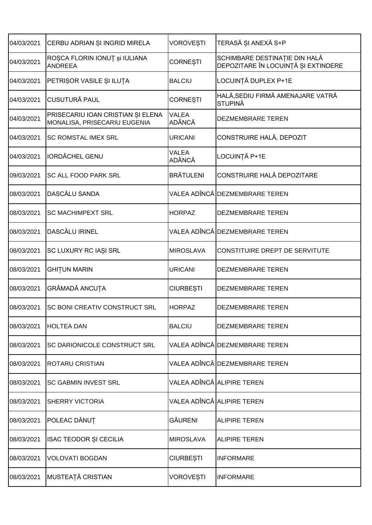| 04/03/2021 | CERBU ADRIAN ȘI INGRID MIRELA                                     | <b>VOROVEȘTI</b>              | TERASĂ ȘI ANEXĂ S+P                                                  |
|------------|-------------------------------------------------------------------|-------------------------------|----------------------------------------------------------------------|
| 04/03/2021 | ROȘCA FLORIN IONUȚ și IULIANA<br><b>ANDREEA</b>                   | <b>CORNESTI</b>               | SCHIMBARE DESTINAȚIE DIN HALĂ<br>DEPOZITARE ÎN LOCUINȚĂ ȘI EXTINDERE |
| 04/03/2021 | PETRIȘOR VASILE ȘI ILUȚA                                          | <b>BALCIU</b>                 | LOCUINȚĂ DUPLEX P+1E                                                 |
| 04/03/2021 | <b>CUSUTURĂ PAUL</b>                                              | <b>CORNEȘTI</b>               | HALĂ, SEDIU FIRMĂ AMENAJARE VATRĂ<br><b>STUPINĂ</b>                  |
| 04/03/2021 | PRISECARIU IOAN CRISTIAN ȘI ELENA<br>MONALISA, PRISECARIU EUGENIA | <b>VALEA</b><br><b>ADÂNCĂ</b> | DEZMEMBRARE TEREN                                                    |
| 04/03/2021 | <b>SC ROMSTAL IMEX SRL</b>                                        | <b>URICANI</b>                | CONSTRUIRE HALĂ, DEPOZIT                                             |
| 04/03/2021 | <b>IORDĂCHEL GENU</b>                                             | <b>VALEA</b><br><b>ADÂNCĂ</b> | LOCUINȚĂ P+1E                                                        |
| 09/03/2021 | SC ALL FOOD PARK SRL                                              | <b>BRÄTULENI</b>              | CONSTRUIRE HALĂ DEPOZITARE                                           |
| 08/03/2021 | <b>DASCĂLU SANDA</b>                                              |                               | VALEA ADÎNCĂ DEZMEMBRARE TEREN                                       |
| 08/03/2021 | <b>SC MACHIMPEXT SRL</b>                                          | <b>HORPAZ</b>                 | <b>DEZMEMBRARE TEREN</b>                                             |
| 08/03/2021 | DASCĂLU IRINEL                                                    |                               | VALEA ADÎNCĂ DEZMEMBRARE TEREN                                       |
| 08/03/2021 | SC LUXURY RC IAȘI SRL                                             | <b>MIROSLAVA</b>              | CONSTITUIRE DREPT DE SERVITUTE                                       |
| 08/03/2021 | <b>GHITUN MARIN</b>                                               | <b>URICANI</b>                | DEZMEMBRARE TEREN                                                    |
| 08/03/2021 | GRĂMADĂ ANCUȚA                                                    | <b>CIURBEȘTI</b>              | DEZMEMBRARE TEREN                                                    |
| 08/03/2021 | SC BONI CREATIV CONSTRUCT SRL                                     | <b>HORPAZ</b>                 | DEZMEMBRARE TEREN                                                    |
| 08/03/2021 | <b>HOLTEA DAN</b>                                                 | <b>BALCIU</b>                 | DEZMEMBRARE TEREN                                                    |
| 08/03/2021 | SC DARIONICOLE CONSTRUCT SRL                                      |                               | VALEA ADÎNCĂ DEZMEMBRARE TEREN                                       |
| 08/03/2021 | <b>ROTARU CRISTIAN</b>                                            |                               | VALEA ADÎNCĂ DEZMEMBRARE TEREN                                       |
| 08/03/2021 | <b>SC GABMIN INVEST SRL</b>                                       |                               | VALEA ADÎNCĂ ALIPIRE TEREN                                           |
| 08/03/2021 | <b>SHERRY VICTORIA</b>                                            |                               | VALEA ADÎNCĂ ALIPIRE TEREN                                           |
| 08/03/2021 | POLEAC DĂNUȚ                                                      | <b>GĂURENI</b>                | <b>ALIPIRE TEREN</b>                                                 |
| 08/03/2021 | <b>ISAC TEODOR ȘI CECILIA</b>                                     | <b>MIROSLAVA</b>              | <b>ALIPIRE TEREN</b>                                                 |
| 08/03/2021 | <b>VOLOVATI BOGDAN</b>                                            | <b>CIURBEȘTI</b>              | <b>INFORMARE</b>                                                     |
| 08/03/2021 | MUSTEAȚĂ CRISTIAN                                                 | <b>VOROVEȘTI</b>              | <b>INFORMARE</b>                                                     |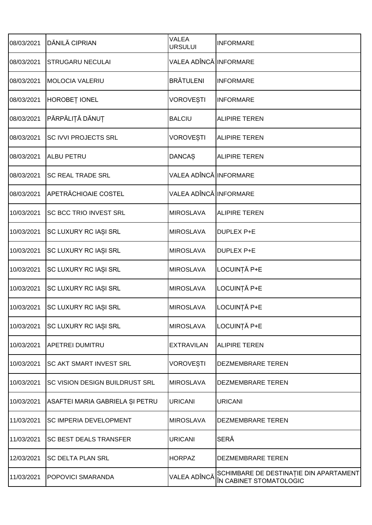| 08/03/2021 | DĂNILĂ CIPRIAN                  | <b>VALEA</b><br><b>URSULUI</b> | <b>INFORMARE</b>                                                  |
|------------|---------------------------------|--------------------------------|-------------------------------------------------------------------|
| 08/03/2021 | <b>STRUGARU NECULAI</b>         | VALEA ADÎNCĂ INFORMARE         |                                                                   |
| 08/03/2021 | <b>MOLOCIA VALERIU</b>          | <b>BRĂTULENI</b>               | <b>INFORMARE</b>                                                  |
| 08/03/2021 | HOROBEȚ IONEL                   | <b>VOROVEȘTI</b>               | <b>INFORMARE</b>                                                  |
| 08/03/2021 | PĂRPĂLIȚĂ DĂNUȚ                 | <b>BALCIU</b>                  | <b>ALIPIRE TEREN</b>                                              |
| 08/03/2021 | SC IVVI PROJECTS SRL            | <b>VOROVEȘTI</b>               | <b>ALIPIRE TEREN</b>                                              |
| 08/03/2021 | <b>ALBU PETRU</b>               | <b>DANCAŞ</b>                  | <b>ALIPIRE TEREN</b>                                              |
| 08/03/2021 | <b>SC REAL TRADE SRL</b>        | VALEA ADÎNCĂ INFORMARE         |                                                                   |
| 08/03/2021 | <b>APETRĂCHIOAIE COSTEL</b>     | VALEA ADÎNCĂ INFORMARE         |                                                                   |
| 10/03/2021 | SC BCC TRIO INVEST SRL          | <b>MIROSLAVA</b>               | <b>ALIPIRE TEREN</b>                                              |
| 10/03/2021 | SC LUXURY RC IAȘI SRL           | <b>MIROSLAVA</b>               | DUPLEX P+E                                                        |
| 10/03/2021 | SC LUXURY RC IAȘI SRL           | <b>MIROSLAVA</b>               | DUPLEX P+E                                                        |
| 10/03/2021 | SC LUXURY RC IAȘI SRL           | <b>MIROSLAVA</b>               | LOCUINȚĂ P+E                                                      |
| 10/03/2021 | SC LUXURY RC IAȘI SRL           | <b>MIROSLAVA</b>               | LOCUINȚĂ P+E                                                      |
| 10/03/2021 | SC LUXURY RC IAȘI SRL           | <b>MIROSLAVA</b>               | LOCUINȚĂ P+E                                                      |
| 10/03/2021 | SC LUXURY RC IAȘI SRL           | <b>MIROSLAVA</b>               | LOCUINȚĂ P+E                                                      |
| 10/03/2021 | <b>APETREI DUMITRU</b>          | <b>EXTRAVILAN</b>              | <b>ALIPIRE TEREN</b>                                              |
| 10/03/2021 | <b>SC AKT SMART INVEST SRL</b>  | <b>VOROVESTI</b>               | DEZMEMBRARE TEREN                                                 |
| 10/03/2021 | SC VISION DESIGN BUILDRUST SRL  | <b>MIROSLAVA</b>               | DEZMEMBRARE TEREN                                                 |
| 10/03/2021 | ASAFTEI MARIA GABRIELA ȘI PETRU | <b>URICANI</b>                 | <b>URICANI</b>                                                    |
| 11/03/2021 | SC IMPERIA DEVELOPMENT          | <b>MIROSLAVA</b>               | DEZMEMBRARE TEREN                                                 |
| 11/03/2021 | <b>SC BEST DEALS TRANSFER</b>   | <b>URICANI</b>                 | <b>SERĂ</b>                                                       |
| 12/03/2021 | <b>SC DELTA PLAN SRL</b>        | <b>HORPAZ</b>                  | DEZMEMBRARE TEREN                                                 |
| 11/03/2021 | <b>POPOVICI SMARANDA</b>        | VALEA ADÎNCĂ                   | SCHIMBARE DE DESTINAȚIE DIN APARTAMENT<br>ÎN CABINET STOMATOLOGIC |
|            |                                 |                                |                                                                   |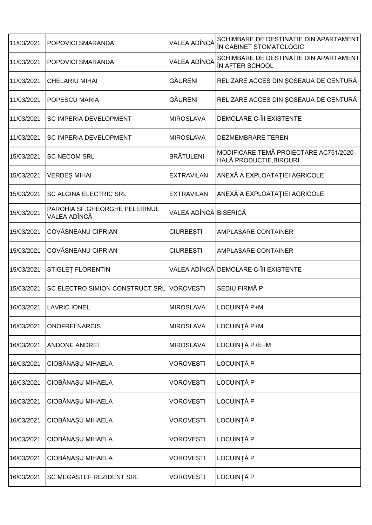| 11/03/2021 | POPOVICI SMARANDA                             | VALEA ADÎNCĂ          | SCHIMBARE DE DESTINAȚIE DIN APARTAMENT<br>ÎN CABINET STOMATOLOGIC |
|------------|-----------------------------------------------|-----------------------|-------------------------------------------------------------------|
| 11/03/2021 | POPOVICI SMARANDA                             | VALEA ADÎNCĂ          | SCHIMBARE DE DESTINAȚIE DIN APARTAMENT<br>ÎN AFTER SCHOOL         |
| 11/03/2021 | <b>CHELARIU MIHAI</b>                         | <b>GÄURENI</b>        | RELIZARE ACCES DIN ȘOSEAUA DE CENTURĂ                             |
| 11/03/2021 | <b>POPESCU MARIA</b>                          | <b>GÄURENI</b>        | RELIZARE ACCES DIN ȘOSEAUA DE CENTURĂ                             |
| 11/03/2021 | <b>SC IMPERIA DEVELOPMENT</b>                 | <b>MIROSLAVA</b>      | DEMOLARE C-ÎII EXISTENTE                                          |
| 11/03/2021 | <b>SC IMPERIA DEVELOPMENT</b>                 | <b>MIROSLAVA</b>      | DEZMEMBRARE TEREN                                                 |
| 15/03/2021 | <b>SC NECOM SRL</b>                           | <b>BRĂTULENI</b>      | MODIFICARE TEMĂ PROIECTARE AC751/2020-<br>HALĂ PRODUCȚIE, BIROURI |
| 15/03/2021 | <b>VERDEȘ MIHAI</b>                           | <b>EXTRAVILAN</b>     | ANEXĂ A EXPLOATAȚIEI AGRICOLE                                     |
| 15/03/2021 | <b>SC ALGINA ELECTRIC SRL</b>                 | <b>EXTRAVILAN</b>     | ANEXĂ A EXPLOATAȚIEI AGRICOLE                                     |
| 15/03/2021 | PAROHIA SF.GHEORGHE PELERINUL<br>VALEA ADÎNCĂ | VALEA ADÎNCĂ BISERICĂ |                                                                   |
| 15/03/2021 | COVĂSNEANU CIPRIAN                            | <b>CIURBEȘTI</b>      | <b>AMPLASARE CONTAINER</b>                                        |
| 15/03/2021 | COVĂSNEANU CIPRIAN                            | <b>CIURBEȘTI</b>      | <b>AMPLASARE CONTAINER</b>                                        |
| 15/03/2021 | STIGLET FLORENTIN                             |                       | VALEA ADÎNCĂ DEMOLARE C-ÎII EXISTENTE                             |
| 15/03/2021 | SC ELECTRO SIMION CONSTRUCT SRL VOROVESTI     |                       | SEDIU FIRMĂ P                                                     |
| 16/03/2021 | <b>LAVRIC IONEL</b>                           | <b>MIROSLAVA</b>      | LOCUINȚĂ P+M                                                      |
| 16/03/2021 | <b>ONOFREI NARCIS</b>                         | <b>MIROSLAVA</b>      | LOCUINȚĂ P+M                                                      |
| 16/03/2021 | <b>ANDONE ANDREI</b>                          | <b>MIROSLAVA</b>      | LOCUINȚĂ P+E+M                                                    |
| 16/03/2021 | CIOBĂNAȘU MIHAELA                             | <b>VOROVEȘTI</b>      | LOCUINȚĂ P                                                        |
| 16/03/2021 | CIOBĂNAȘU MIHAELA                             | <b>VOROVEȘTI</b>      | LOCUINȚĂ P                                                        |
| 16/03/2021 | CIOBĂNAȘU MIHAELA                             | <b>VOROVEȘTI</b>      | LOCUINȚĂ P                                                        |
| 16/03/2021 | CIOBĂNAȘU MIHAELA                             | <b>VOROVEȘTI</b>      | LOCUINȚĂ P                                                        |
| 16/03/2021 | CIOBĂNAȘU MIHAELA                             | <b>VOROVEȘTI</b>      | LOCUINȚĂ P                                                        |
| 16/03/2021 | CIOBĂNAȘU MIHAELA                             | <b>VOROVEȘTI</b>      | LOCUINȚĂ P                                                        |
| 16/03/2021 | <b>SC MEGASTEF REZIDENT SRL</b>               | <b>VOROVEȘTI</b>      | LOCUINȚĂ P                                                        |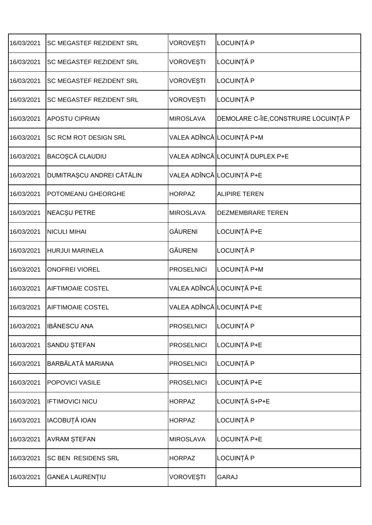| <b>SC MEGASTEF REZIDENT SRL</b> | <b>VOROVEȘTI</b>         | LOCUINȚĂ P                            |
|---------------------------------|--------------------------|---------------------------------------|
|                                 |                          |                                       |
|                                 | <b>VOROVEȘTI</b>         | LOCUINȚĂ P                            |
| <b>SC MEGASTEF REZIDENT SRL</b> | <b>VOROVEȘTI</b>         | LOCUINȚĂ P                            |
| <b>SC MEGASTEF REZIDENT SRL</b> | <b>VOROVEȘTI</b>         | LOCUINȚĂ P                            |
| <b>APOSTU CIPRIAN</b>           | <b>MIROSLAVA</b>         | DEMOLARE C-ÎIE, CONSTRUIRE LOCUINȚĂ P |
| <b>SC RCM ROT DESIGN SRL</b>    |                          | VALEA ADÎNCĂ LOCUINȚĂ P+M             |
| BACOȘCĂ CLAUDIU                 |                          | VALEA ADÎNCĂ LOCUINȚĂ DUPLEX P+E      |
| DUMITRAȘCU ANDREI CĂTĂLIN       |                          | VALEA ADÎNCĂ LOCUINȚĂ P+E             |
| POTOMEANU GHEORGHE              | <b>HORPAZ</b>            | <b>ALIPIRE TEREN</b>                  |
| <b>NEACȘU PETRE</b>             | <b>MIROSLAVA</b>         | <b>DEZMEMBRARE TEREN</b>              |
| <b>NICULI MIHAI</b>             | <b>GĂURENI</b>           | LOCUINȚĂ P+E                          |
| <b>HURJUI MARINELA</b>          | <b>GĂURENI</b>           | LOCUINȚĂ P                            |
| <b>ONOFREI VIOREL</b>           | <b>PROSELNICI</b>        | LOCUINȚĂ P+M                          |
| <b>AIFTIMOAIE COSTEL</b>        |                          | VALEA ADÎNCĂ LOCUINȚĂ P+E             |
| <b>AIFTIMOAIE COSTEL</b>        |                          | VALEA ADÎNCĂ LOCUINȚĂ P+E             |
| <b>IBĂNESCU ANA</b>             | <b>PROSELNICI</b>        | LOCUINȚĂ P                            |
| <b>SANDU STEFAN</b>             | <b>PROSELNICI</b>        | LOCUINȚĂ P+E                          |
| BARBĂLATĂ MARIANA               | <b>PROSELNICI</b>        | LOCUINȚĂ P                            |
| POPOVICI VASILE                 | <b>PROSELNICI</b>        | LOCUINȚĂ P+E                          |
| <b>IFTIMOVICI NICU</b>          | <b>HORPAZ</b>            | LOCUINȚĂ S+P+E                        |
| IACOBUȚĂ IOAN                   | <b>HORPAZ</b>            | LOCUINȚĂ P                            |
| <b>AVRAM STEFAN</b>             | <b>MIROSLAVA</b>         | LOCUINȚĂ P+E                          |
| SC BEN RESIDENS SRL             | <b>HORPAZ</b>            | LOCUINȚĂ P                            |
| <b>GANEA LAURENȚIU</b>          | <b>VOROVEȘTI</b>         | <b>GARAJ</b>                          |
|                                 | SC MEGASTEF REZIDENT SRL |                                       |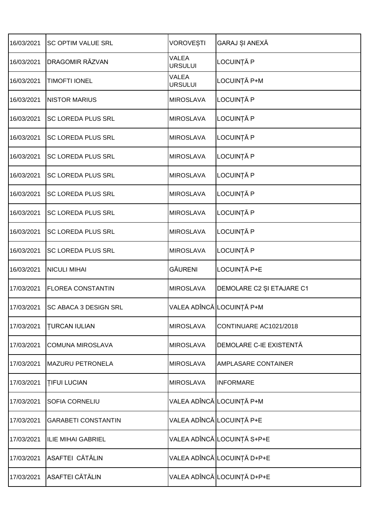| 16/03/2021 | <b>SC OPTIM VALUE SRL</b>  | VOROVEȘTI               | GARAJ ȘI ANEXĂ              |
|------------|----------------------------|-------------------------|-----------------------------|
| 16/03/2021 | DRAGOMIR RĂZVAN            | VALEA<br><b>URSULUI</b> | LOCUINȚĂ P                  |
| 16/03/2021 | <b>TIMOFTI IONEL</b>       | VALEA<br><b>URSULUI</b> | LOCUINȚĂ P+M                |
| 16/03/2021 | <b>NISTOR MARIUS</b>       | <b>MIROSLAVA</b>        | LOCUINȚĂ P                  |
| 16/03/2021 | <b>SC LOREDA PLUS SRL</b>  | <b>MIROSLAVA</b>        | LOCUINȚĂ P                  |
| 16/03/2021 | <b>SC LOREDA PLUS SRL</b>  | <b>MIROSLAVA</b>        | LOCUINȚĂ P                  |
| 16/03/2021 | <b>SC LOREDA PLUS SRL</b>  | <b>MIROSLAVA</b>        | LOCUINȚĂ P                  |
| 16/03/2021 | <b>SC LOREDA PLUS SRL</b>  | <b>MIROSLAVA</b>        | LOCUINȚĂ P                  |
| 16/03/2021 | SC LOREDA PLUS SRL         | <b>MIROSLAVA</b>        | LOCUINȚĂ P                  |
| 16/03/2021 | <b>SC LOREDA PLUS SRL</b>  | <b>MIROSLAVA</b>        | LOCUINȚĂ P                  |
| 16/03/2021 | SC LOREDA PLUS SRL         | <b>MIROSLAVA</b>        | LOCUINȚĂ P                  |
| 16/03/2021 | SC LOREDA PLUS SRL         | <b>MIROSLAVA</b>        | LOCUINȚĂ P                  |
| 16/03/2021 | <b>NICULI MIHAI</b>        | <b>GĂURENI</b>          | LOCUINȚĂ P+E                |
| 17/03/2021 | <b>FLOREA CONSTANTIN</b>   | <b>MIROSLAVA</b>        | DEMOLARE C2 ȘI ETAJARE C1   |
| 17/03/2021 | SC ABACA 3 DESIGN SRL      |                         | VALEA ADÎNCĂ│LOCUINȚĂ P+M   |
| 17/03/2021 | <b>TURCAN IULIAN</b>       | <b>MIROSLAVA</b>        | CONTINUARE AC1021/2018      |
| 17/03/2021 | <b>COMUNA MIROSLAVA</b>    | <b>MIROSLAVA</b>        | DEMOLARE C-IE EXISTENTĂ     |
| 17/03/2021 | <b>MAZURU PETRONELA</b>    | <b>MIROSLAVA</b>        | AMPLASARE CONTAINER         |
| 17/03/2021 | <b>TIFUI LUCIAN</b>        | <b>MIROSLAVA</b>        | <b>INFORMARE</b>            |
| 17/03/2021 | <b>SOFIA CORNELIU</b>      |                         | VALEA ADÎNCĂ│LOCUINȚĂ P+M   |
| 17/03/2021 | <b>GARABETI CONSTANTIN</b> |                         | VALEA ADÎNCĂ LOCUINȚĂ P+E   |
| 17/03/2021 | <b>ILIE MIHAI GABRIEL</b>  |                         | VALEA ADÎNCĂ LOCUINȚĂ S+P+E |
| 17/03/2021 | ASAFTEI CĂTĂLIN            |                         | VALEA ADÎNCĂ LOCUINȚĂ D+P+E |
| 17/03/2021 | <b>ASAFTEI CĂTĂLIN</b>     |                         | VALEA ADÎNCĂ LOCUINȚĂ D+P+E |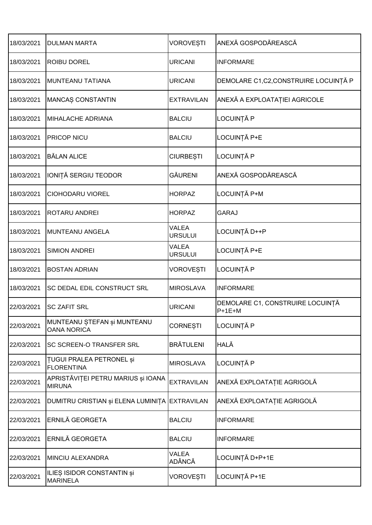| 18/03/2021 | <b>DULMAN MARTA</b>                                  | <b>VOROVEȘTI</b>               | ANEXĂ GOSPODĂREASCĂ                          |
|------------|------------------------------------------------------|--------------------------------|----------------------------------------------|
| 18/03/2021 | <b>ROIBU DOREL</b>                                   | <b>URICANI</b>                 | <b>INFORMARE</b>                             |
| 18/03/2021 | MUNTEANU TATIANA                                     | <b>URICANI</b>                 | DEMOLARE C1,C2,CONSTRUIRE LOCUINȚĂ P         |
| 18/03/2021 | MANCAȘ CONSTANTIN                                    | <b>EXTRAVILAN</b>              | ANEXĂ A EXPLOATAȚIEI AGRICOLE                |
| 18/03/2021 | <b>MIHALACHE ADRIANA</b>                             | <b>BALCIU</b>                  | LOCUINȚĂ P                                   |
| 18/03/2021 | <b>PRICOP NICU</b>                                   | <b>BALCIU</b>                  | LOCUINȚĂ P+E                                 |
| 18/03/2021 | <b>BĂLAN ALICE</b>                                   | <b>CIURBEȘTI</b>               | LOCUINȚĂ P                                   |
| 18/03/2021 | IONIȚĂ SERGIU TEODOR                                 | <b>GĂURENI</b>                 | ANEXĂ GOSPODĂREASCĂ                          |
| 18/03/2021 | <b>CIOHODARU VIOREL</b>                              | <b>HORPAZ</b>                  | LOCUINȚĂ P+M                                 |
| 18/03/2021 | <b>ROTARU ANDREI</b>                                 | <b>HORPAZ</b>                  | <b>GARAJ</b>                                 |
| 18/03/2021 | <b>MUNTEANU ANGELA</b>                               | <b>VALEA</b><br><b>URSULUI</b> | LOCUINȚĂ D++P                                |
| 18/03/2021 | <b>SIMION ANDREI</b>                                 | <b>VALEA</b><br><b>URSULUI</b> | LOCUINȚĂ P+E                                 |
| 18/03/2021 | <b>BOSTAN ADRIAN</b>                                 | <b>VOROVEȘTI</b>               | LOCUINȚĂ P                                   |
| 18/03/2021 | <b>SC DEDAL EDIL CONSTRUCT SRL</b>                   | <b>MIROSLAVA</b>               | <b>INFORMARE</b>                             |
| 22/03/2021 | <b>SC ZAFIT SRL</b>                                  | <b>URICANI</b>                 | DEMOLARE C1, CONSTRUIRE LOCUINȚĂ<br>$P+1E+M$ |
| 22/03/2021 | MUNTEANU ȘTEFAN și MUNTEANU<br><b>OANA NORICA</b>    | <b>CORNESTI</b>                | LOCUINȚĂ P                                   |
| 22/03/2021 | <b>SC SCREEN-O TRANSFER SRL</b>                      | <b>BRĂTULENI</b>               | HALĂ                                         |
| 22/03/2021 | <b>TUGUI PRALEA PETRONEL și</b><br><b>FLORENTINA</b> | <b>MIROSLAVA</b>               | LOCUINȚĂ P                                   |
| 22/03/2021 | APRISTĂVIȚEI PETRU MARIUS și IOANA<br><b>MIRUNA</b>  | <b>EXTRAVILAN</b>              | ANEXĂ EXPLOATAȚIE AGRIGOLĂ                   |
| 22/03/2021 | DUMITRU CRISTIAN și ELENA LUMINIȚA EXTRAVILAN        |                                | ANEXĂ EXPLOATAȚIE AGRIGOLĂ                   |
| 22/03/2021 | ERNILĂ GEORGETA                                      | <b>BALCIU</b>                  | <b>INFORMARE</b>                             |
| 22/03/2021 | ERNILĂ GEORGETA                                      | <b>BALCIU</b>                  | <b>INFORMARE</b>                             |
| 22/03/2021 | <b>MINCIU ALEXANDRA</b>                              | VALEA<br><b>ADÂNCĂ</b>         | LOCUINȚĂ D+P+1E                              |
| 22/03/2021 | <b>ILIEȘ ISIDOR CONSTANTIN și</b><br><b>MARINELA</b> | <b>VOROVEȘTI</b>               | LOCUINȚĂ P+1E                                |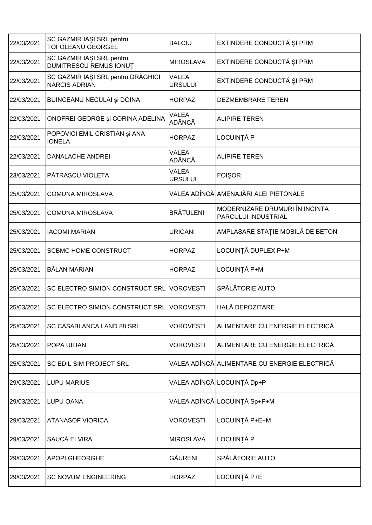| 22/03/2021 | SC GAZMIR IAȘI SRL pentru<br><b>TOFOLEANU GEORGEL</b>      | <b>BALCIU</b>           | EXTINDERE CONDUCTĂ ȘI PRM                             |
|------------|------------------------------------------------------------|-------------------------|-------------------------------------------------------|
| 22/03/2021 | SC GAZMIR IAȘI SRL pentru<br><b>DUMITRESCU REMUS IONUT</b> | <b>MIROSLAVA</b>        | EXTINDERE CONDUCTĂ ȘI PRM                             |
| 22/03/2021 | SC GAZMIR IAȘI SRL pentru DRĂGHICI<br><b>NARCIS ADRIAN</b> | VALEA<br><b>URSULUI</b> | EXTINDERE CONDUCTĂ ȘI PRM                             |
| 22/03/2021 | <b>BUINCEANU NECULAI și DOINA</b>                          | <b>HORPAZ</b>           | DEZMEMBRARE TEREN                                     |
| 22/03/2021 | ONOFREI GEORGE și CORINA ADELINA                           | VALEA<br><b>ADÂNCĂ</b>  | <b>ALIPIRE TEREN</b>                                  |
| 22/03/2021 | POPOVICI EMIL CRISTIAN și ANA<br><b>IONELA</b>             | <b>HORPAZ</b>           | LOCUINȚĂ P                                            |
| 22/03/2021 | DANALACHE ANDREI                                           | VALEA<br><b>ADÂNCĂ</b>  | <b>ALIPIRE TEREN</b>                                  |
| 23/03/2021 | PĂTRAȘCU VIOLETA                                           | VALEA<br><b>URSULUI</b> | <b>FOISOR</b>                                         |
| 25/03/2021 | <b>COMUNA MIROSLAVA</b>                                    |                         | VALEA ADÎNCĂ│AMENAJĂRI ALEI PIETONALE                 |
| 25/03/2021 | <b>COMUNA MIROSLAVA</b>                                    | <b>BRÄTULENI</b>        | MODERNIZARE DRUMURI ÎN INCINTA<br>PARCULUI INDUSTRIAL |
| 25/03/2021 | <b>IACOMI MARIAN</b>                                       | <b>URICANI</b>          | AMPLASARE STAȚIE MOBILĂ DE BETON                      |
| 25/03/2021 | <b>SCBMC HOME CONSTRUCT</b>                                | <b>HORPAZ</b>           | LOCUINȚĂ DUPLEX P+M                                   |
| 25/03/2021 | <b>BĂLAN MARIAN</b>                                        | <b>HORPAZ</b>           | LOCUINȚĂ P+M                                          |
| 25/03/2021 | SC ELECTRO SIMION CONSTRUCT SRL VOROVESTI                  |                         | SPĂLĂTORIE AUTO                                       |
| 25/03/2021 | SC ELECTRO SIMION CONSTRUCT SRL VOROVESTI                  |                         | HALĂ DEPOZITARE                                       |
| 25/03/2021 | SC CASABLANCA LAND 88 SRL                                  | VOROVEȘTI               | ALIMENTARE CU ENERGIE ELECTRICĂ                       |
| 25/03/2021 | <b>POPA UILIAN</b>                                         | VOROVEȘTI               | ALIMENTARE CU ENERGIE ELECTRICĂ                       |
| 25/03/2021 | SC EDIL SIM PROJECT SRL                                    |                         | VALEA ADÎNCĂ│ALIMENTARE CU ENERGIE ELECTRICĂ          |
| 29/03/2021 | <b>LUPU MARIUS</b>                                         |                         | VALEA ADÎNCĂ LOCUINȚĂ Dp+P                            |
| 29/03/2021 | <b>LUPU OANA</b>                                           |                         | VALEA ADÎNCĂ│LOCUINȚĂ Sp+P+M                          |
| 29/03/2021 | <b>ATANASOF VIORICA</b>                                    | VOROVEȘTI               | LOCUINȚĂ P+E+M                                        |
| 29/03/2021 | SAUCĂ ELVIRA                                               | <b>MIROSLAVA</b>        | LOCUINȚĂ P                                            |
| 29/03/2021 | <b>APOPI GHEORGHE</b>                                      | <b>GĂURENI</b>          | SPĂLĂTORIE AUTO                                       |
|            |                                                            |                         |                                                       |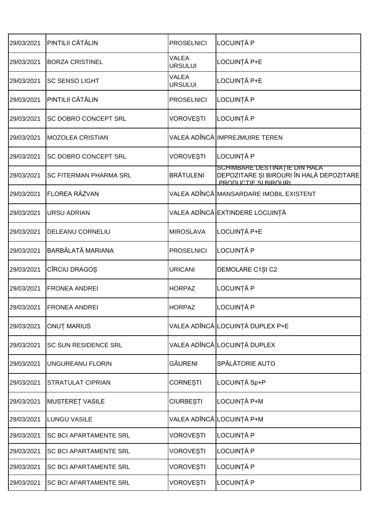| LOCUINȚĂ P<br>PINTILII CĂTĂLIN<br>29/03/2021<br><b>PROSELNICI</b><br>VALEA<br>LOCUINȚĂ P+E<br>29/03/2021<br><b>BORZA CRISTINEL</b><br><b>URSULUI</b><br><b>VALEA</b><br>LOCUINȚĂ P+E<br><b>SC SENSO LIGHT</b><br>29/03/2021<br><b>URSULUI</b><br>PINTILII CĂTĂLIN<br>LOCUINȚĂ P<br><b>PROSELNICI</b><br>29/03/2021<br>LOCUINȚĂ P<br><b>VOROVEȘTI</b><br>29/03/2021<br>SC DOBRO CONCEPT SRL<br>VALEA ADÎNCĂ IMPREJMUIRE TEREN<br>29/03/2021<br><b>MOZOLEA CRISTIAN</b><br>LOCUINȚĂ P<br>SC DOBRO CONCEPT SRL<br><b>VOROVEȘTI</b><br>29/03/2021<br>SCHIMBARE DESTINAȚIE DIN HALA<br><b>BRĂTULENI</b><br>29/03/2021<br><b>SC FITERMAN PHARMA SRL</b><br><b>PRODUCTIF SI BIROURI</b><br><b>FLOREA RĂZVAN</b><br>VALEA ADÎNCĂ MANSARDARE IMOBIL EXISTENT<br>29/03/2021<br>VALEA ADÎNCĂ EXTINDERE LOCUINȚĂ<br>29/03/2021<br><b>URSU ADRIAN</b><br>LOCUINȚĂ P+E<br>29/03/2021<br>DELEANU CORNELIU<br><b>MIROSLAVA</b><br>BARBĂLATĂ MARIANA<br>LOCUINȚĂ P<br>29/03/2021<br><b>PROSELNICI</b><br>CÎRCIU DRAGOȘ<br><b>URICANI</b><br>DEMOLARE C1ȘI C2<br>29/03/2021<br>LOCUINȚĂ P<br>29/03/2021<br><b>FRONEA ANDREI</b><br><b>HORPAZ</b><br>LOCUINȚĂ P<br><b>FRONEA ANDREI</b><br><b>HORPAZ</b><br>29/03/2021<br>VALEA ADÎNCĂ LOCUINȚĂ DUPLEX P+E<br><b>ONUT MARIUS</b><br>29/03/2021<br>VALEA ADÎNCĂ LOCUINȚĂ DUPLEX<br><b>SC SUN RESIDENCE SRL</b><br>29/03/2021<br>SPĂLĂTORIE AUTO<br><b>GĂURENI</b><br>29/03/2021<br>UNGUREANU FLORIN<br>LOCUINȚĂ Sp+P<br><b>CORNESTI</b><br>29/03/2021<br>STRATULAT CIPRIAN<br>LOCUINȚĂ P+M<br><b>MUSTERET VASILE</b><br><b>CIURBEȘTI</b><br>29/03/2021<br>VALEA ADÎNCĂ LOCUINȚĂ P+M<br>29/03/2021<br><b>LUNGU VASILE</b><br>LOCUINȚĂ P<br><b>VOROVEȘTI</b><br>29/03/2021<br><b>SC BCI APARTAMENTE SRL</b><br>LOCUINȚĂ P<br><b>VOROVEȘTI</b><br><b>SC BCI APARTAMENTE SRL</b><br>29/03/2021<br>LOCUINȚĂ P<br><b>VOROVEȘTI</b><br>29/03/2021<br>SC BCI APARTAMENTE SRL<br>LOCUINȚĂ P<br>29/03/2021<br><b>VOROVEȘTI</b><br>SC BCI APARTAMENTE SRL |  |                                          |
|----------------------------------------------------------------------------------------------------------------------------------------------------------------------------------------------------------------------------------------------------------------------------------------------------------------------------------------------------------------------------------------------------------------------------------------------------------------------------------------------------------------------------------------------------------------------------------------------------------------------------------------------------------------------------------------------------------------------------------------------------------------------------------------------------------------------------------------------------------------------------------------------------------------------------------------------------------------------------------------------------------------------------------------------------------------------------------------------------------------------------------------------------------------------------------------------------------------------------------------------------------------------------------------------------------------------------------------------------------------------------------------------------------------------------------------------------------------------------------------------------------------------------------------------------------------------------------------------------------------------------------------------------------------------------------------------------------------------------------------------------------------------------------------------------------------------------------------------------------------------------------------------------------------------------------------------------------------------------|--|------------------------------------------|
|                                                                                                                                                                                                                                                                                                                                                                                                                                                                                                                                                                                                                                                                                                                                                                                                                                                                                                                                                                                                                                                                                                                                                                                                                                                                                                                                                                                                                                                                                                                                                                                                                                                                                                                                                                                                                                                                                                                                                                            |  |                                          |
|                                                                                                                                                                                                                                                                                                                                                                                                                                                                                                                                                                                                                                                                                                                                                                                                                                                                                                                                                                                                                                                                                                                                                                                                                                                                                                                                                                                                                                                                                                                                                                                                                                                                                                                                                                                                                                                                                                                                                                            |  |                                          |
|                                                                                                                                                                                                                                                                                                                                                                                                                                                                                                                                                                                                                                                                                                                                                                                                                                                                                                                                                                                                                                                                                                                                                                                                                                                                                                                                                                                                                                                                                                                                                                                                                                                                                                                                                                                                                                                                                                                                                                            |  |                                          |
|                                                                                                                                                                                                                                                                                                                                                                                                                                                                                                                                                                                                                                                                                                                                                                                                                                                                                                                                                                                                                                                                                                                                                                                                                                                                                                                                                                                                                                                                                                                                                                                                                                                                                                                                                                                                                                                                                                                                                                            |  |                                          |
|                                                                                                                                                                                                                                                                                                                                                                                                                                                                                                                                                                                                                                                                                                                                                                                                                                                                                                                                                                                                                                                                                                                                                                                                                                                                                                                                                                                                                                                                                                                                                                                                                                                                                                                                                                                                                                                                                                                                                                            |  |                                          |
|                                                                                                                                                                                                                                                                                                                                                                                                                                                                                                                                                                                                                                                                                                                                                                                                                                                                                                                                                                                                                                                                                                                                                                                                                                                                                                                                                                                                                                                                                                                                                                                                                                                                                                                                                                                                                                                                                                                                                                            |  |                                          |
|                                                                                                                                                                                                                                                                                                                                                                                                                                                                                                                                                                                                                                                                                                                                                                                                                                                                                                                                                                                                                                                                                                                                                                                                                                                                                                                                                                                                                                                                                                                                                                                                                                                                                                                                                                                                                                                                                                                                                                            |  |                                          |
|                                                                                                                                                                                                                                                                                                                                                                                                                                                                                                                                                                                                                                                                                                                                                                                                                                                                                                                                                                                                                                                                                                                                                                                                                                                                                                                                                                                                                                                                                                                                                                                                                                                                                                                                                                                                                                                                                                                                                                            |  | DEPOZITARE ȘI BIROURI ÎN HALĂ DEPOZITARE |
|                                                                                                                                                                                                                                                                                                                                                                                                                                                                                                                                                                                                                                                                                                                                                                                                                                                                                                                                                                                                                                                                                                                                                                                                                                                                                                                                                                                                                                                                                                                                                                                                                                                                                                                                                                                                                                                                                                                                                                            |  |                                          |
|                                                                                                                                                                                                                                                                                                                                                                                                                                                                                                                                                                                                                                                                                                                                                                                                                                                                                                                                                                                                                                                                                                                                                                                                                                                                                                                                                                                                                                                                                                                                                                                                                                                                                                                                                                                                                                                                                                                                                                            |  |                                          |
|                                                                                                                                                                                                                                                                                                                                                                                                                                                                                                                                                                                                                                                                                                                                                                                                                                                                                                                                                                                                                                                                                                                                                                                                                                                                                                                                                                                                                                                                                                                                                                                                                                                                                                                                                                                                                                                                                                                                                                            |  |                                          |
|                                                                                                                                                                                                                                                                                                                                                                                                                                                                                                                                                                                                                                                                                                                                                                                                                                                                                                                                                                                                                                                                                                                                                                                                                                                                                                                                                                                                                                                                                                                                                                                                                                                                                                                                                                                                                                                                                                                                                                            |  |                                          |
|                                                                                                                                                                                                                                                                                                                                                                                                                                                                                                                                                                                                                                                                                                                                                                                                                                                                                                                                                                                                                                                                                                                                                                                                                                                                                                                                                                                                                                                                                                                                                                                                                                                                                                                                                                                                                                                                                                                                                                            |  |                                          |
|                                                                                                                                                                                                                                                                                                                                                                                                                                                                                                                                                                                                                                                                                                                                                                                                                                                                                                                                                                                                                                                                                                                                                                                                                                                                                                                                                                                                                                                                                                                                                                                                                                                                                                                                                                                                                                                                                                                                                                            |  |                                          |
|                                                                                                                                                                                                                                                                                                                                                                                                                                                                                                                                                                                                                                                                                                                                                                                                                                                                                                                                                                                                                                                                                                                                                                                                                                                                                                                                                                                                                                                                                                                                                                                                                                                                                                                                                                                                                                                                                                                                                                            |  |                                          |
|                                                                                                                                                                                                                                                                                                                                                                                                                                                                                                                                                                                                                                                                                                                                                                                                                                                                                                                                                                                                                                                                                                                                                                                                                                                                                                                                                                                                                                                                                                                                                                                                                                                                                                                                                                                                                                                                                                                                                                            |  |                                          |
|                                                                                                                                                                                                                                                                                                                                                                                                                                                                                                                                                                                                                                                                                                                                                                                                                                                                                                                                                                                                                                                                                                                                                                                                                                                                                                                                                                                                                                                                                                                                                                                                                                                                                                                                                                                                                                                                                                                                                                            |  |                                          |
|                                                                                                                                                                                                                                                                                                                                                                                                                                                                                                                                                                                                                                                                                                                                                                                                                                                                                                                                                                                                                                                                                                                                                                                                                                                                                                                                                                                                                                                                                                                                                                                                                                                                                                                                                                                                                                                                                                                                                                            |  |                                          |
|                                                                                                                                                                                                                                                                                                                                                                                                                                                                                                                                                                                                                                                                                                                                                                                                                                                                                                                                                                                                                                                                                                                                                                                                                                                                                                                                                                                                                                                                                                                                                                                                                                                                                                                                                                                                                                                                                                                                                                            |  |                                          |
|                                                                                                                                                                                                                                                                                                                                                                                                                                                                                                                                                                                                                                                                                                                                                                                                                                                                                                                                                                                                                                                                                                                                                                                                                                                                                                                                                                                                                                                                                                                                                                                                                                                                                                                                                                                                                                                                                                                                                                            |  |                                          |
|                                                                                                                                                                                                                                                                                                                                                                                                                                                                                                                                                                                                                                                                                                                                                                                                                                                                                                                                                                                                                                                                                                                                                                                                                                                                                                                                                                                                                                                                                                                                                                                                                                                                                                                                                                                                                                                                                                                                                                            |  |                                          |
|                                                                                                                                                                                                                                                                                                                                                                                                                                                                                                                                                                                                                                                                                                                                                                                                                                                                                                                                                                                                                                                                                                                                                                                                                                                                                                                                                                                                                                                                                                                                                                                                                                                                                                                                                                                                                                                                                                                                                                            |  |                                          |
|                                                                                                                                                                                                                                                                                                                                                                                                                                                                                                                                                                                                                                                                                                                                                                                                                                                                                                                                                                                                                                                                                                                                                                                                                                                                                                                                                                                                                                                                                                                                                                                                                                                                                                                                                                                                                                                                                                                                                                            |  |                                          |
|                                                                                                                                                                                                                                                                                                                                                                                                                                                                                                                                                                                                                                                                                                                                                                                                                                                                                                                                                                                                                                                                                                                                                                                                                                                                                                                                                                                                                                                                                                                                                                                                                                                                                                                                                                                                                                                                                                                                                                            |  |                                          |
|                                                                                                                                                                                                                                                                                                                                                                                                                                                                                                                                                                                                                                                                                                                                                                                                                                                                                                                                                                                                                                                                                                                                                                                                                                                                                                                                                                                                                                                                                                                                                                                                                                                                                                                                                                                                                                                                                                                                                                            |  |                                          |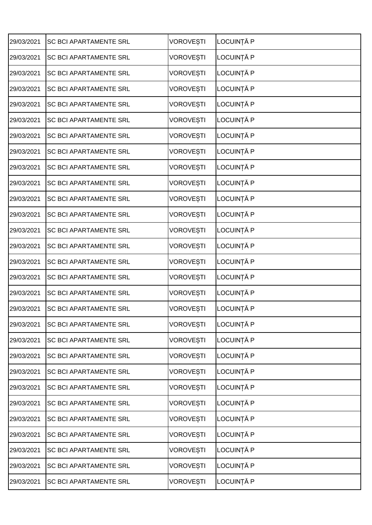| 29/03/2021 | <b>SC BCI APARTAMENTE SRL</b> | <b>VOROVEȘTI</b> | LOCUINȚĂ P |
|------------|-------------------------------|------------------|------------|
| 29/03/2021 | <b>SC BCI APARTAMENTE SRL</b> | <b>VOROVEȘTI</b> | LOCUINȚĂ P |
| 29/03/2021 | <b>SC BCI APARTAMENTE SRL</b> | <b>VOROVEȘTI</b> | LOCUINȚĂ P |
| 29/03/2021 | <b>SC BCI APARTAMENTE SRL</b> | VOROVEȘTI        | LOCUINȚĂ P |
| 29/03/2021 | <b>SC BCI APARTAMENTE SRL</b> | <b>VOROVEȘTI</b> | LOCUINȚĂ P |
| 29/03/2021 | <b>SC BCI APARTAMENTE SRL</b> | <b>VOROVEȘTI</b> | LOCUINȚĂ P |
| 29/03/2021 | <b>SC BCI APARTAMENTE SRL</b> | <b>VOROVESTI</b> | LOCUINȚĂ P |
| 29/03/2021 | <b>SC BCI APARTAMENTE SRL</b> | <b>VOROVEȘTI</b> | LOCUINȚĂ P |
| 29/03/2021 | <b>SC BCI APARTAMENTE SRL</b> | <b>VOROVESTI</b> | LOCUINȚĂ P |
| 29/03/2021 | <b>SC BCI APARTAMENTE SRL</b> | <b>VOROVEȘTI</b> | LOCUINȚĂ P |
| 29/03/2021 | <b>SC BCI APARTAMENTE SRL</b> | <b>VOROVEȘTI</b> | LOCUINȚĂ P |
| 29/03/2021 | <b>SC BCI APARTAMENTE SRL</b> | <b>VOROVESTI</b> | LOCUINȚĂ P |
| 29/03/2021 | <b>SC BCI APARTAMENTE SRL</b> | <b>VOROVEȘTI</b> | LOCUINȚĂ P |
| 29/03/2021 | <b>SC BCI APARTAMENTE SRL</b> | VOROVEȘTI        | LOCUINȚĂ P |
| 29/03/2021 | <b>SC BCI APARTAMENTE SRL</b> | VOROVEȘTI        | LOCUINȚĂ P |
| 29/03/2021 | <b>SC BCI APARTAMENTE SRL</b> | <b>VOROVEȘTI</b> | LOCUINȚĂ P |
| 29/03/2021 | <b>SC BCI APARTAMENTE SRL</b> | <b>VOROVESTI</b> | LOCUINȚĂ P |
| 29/03/2021 | <b>SC BCI APARTAMENTE SRL</b> | <b>VOROVESTI</b> | LOCUINȚĂ P |
| 29/03/2021 | <b>SC BCI APARTAMENTE SRL</b> | <b>VOROVEȘTI</b> | LOCUINȚĂ P |
| 29/03/2021 | <b>SC BCI APARTAMENTE SRL</b> | VOROVEȘTI        | LOCUINȚĂ P |
| 29/03/2021 | <b>SC BCI APARTAMENTE SRL</b> | VOROVEȘTI        | LOCUINȚĂ P |
| 29/03/2021 | <b>SC BCI APARTAMENTE SRL</b> | <b>VOROVEȘTI</b> | LOCUINȚĂ P |
| 29/03/2021 | <b>SC BCI APARTAMENTE SRL</b> | <b>VOROVESTI</b> | LOCUINȚĂ P |
| 29/03/2021 | <b>SC BCI APARTAMENTE SRL</b> | <b>VOROVEȘTI</b> | LOCUINȚĂ P |
| 29/03/2021 | <b>SC BCI APARTAMENTE SRL</b> | VOROVEȘTI        | LOCUINȚĂ P |
| 29/03/2021 | <b>SC BCI APARTAMENTE SRL</b> | VOROVEȘTI        | LOCUINȚĂ P |
| 29/03/2021 | <b>SC BCI APARTAMENTE SRL</b> | <b>VOROVEȘTI</b> | LOCUINȚĂ P |
| 29/03/2021 | <b>SC BCI APARTAMENTE SRL</b> | <b>VOROVEȘTI</b> | LOCUINȚĂ P |
| 29/03/2021 | <b>SC BCI APARTAMENTE SRL</b> | <b>VOROVEȘTI</b> | LOCUINȚĂ P |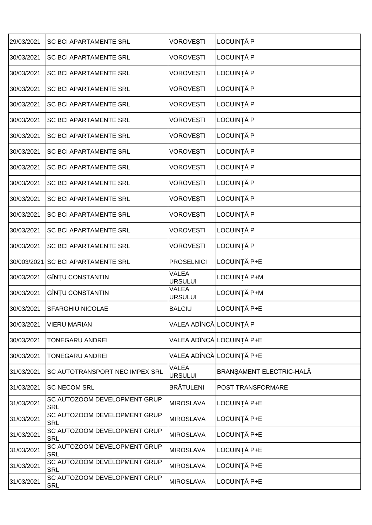| 29/03/2021  | <b>SC BCI APARTAMENTE SRL</b>              | <b>VOROVESTI</b>               | LOCUINȚĂ P                |
|-------------|--------------------------------------------|--------------------------------|---------------------------|
| 30/03/2021  | <b>SC BCI APARTAMENTE SRL</b>              | <b>VOROVEȘTI</b>               | LOCUINȚĂ P                |
| 30/03/2021  | <b>SC BCI APARTAMENTE SRL</b>              | <b>VOROVEȘTI</b>               | LOCUINȚĂ P                |
| 30/03/2021  | <b>SC BCI APARTAMENTE SRL</b>              | <b>VOROVEȘTI</b>               | LOCUINȚĂ P                |
| 30/03/2021  | <b>SC BCI APARTAMENTE SRL</b>              | <b>VOROVEȘTI</b>               | LOCUINȚĂ P                |
| 30/03/2021  | SC BCI APARTAMENTE SRL                     | <b>VOROVEȘTI</b>               | LOCUINȚĂ P                |
| 30/03/2021  | <b>SC BCI APARTAMENTE SRL</b>              | <b>VOROVEȘTI</b>               | LOCUINȚĂ P                |
| 30/03/2021  | <b>SC BCI APARTAMENTE SRL</b>              | <b>VOROVEȘTI</b>               | LOCUINȚĂ P                |
| 30/03/2021  | <b>SC BCI APARTAMENTE SRL</b>              | <b>VOROVEȘTI</b>               | LOCUINȚĂ P                |
| 30/03/2021  | <b>SC BCI APARTAMENTE SRL</b>              | <b>VOROVEȘTI</b>               | LOCUINȚĂ P                |
| 30/03/2021  | <b>SC BCI APARTAMENTE SRL</b>              | <b>VOROVEȘTI</b>               | LOCUINȚĂ P                |
| 30/03/2021  | <b>SC BCI APARTAMENTE SRL</b>              | <b>VOROVEȘTI</b>               | LOCUINȚĂ P                |
| 30/03/2021  | <b>SC BCI APARTAMENTE SRL</b>              | <b>VOROVEȘTI</b>               | LOCUINȚĂ P                |
| 30/03/2021  | <b>SC BCI APARTAMENTE SRL</b>              | <b>VOROVEȘTI</b>               | LOCUINȚĂ P                |
| 30/003/2021 | <b>SC BCI APARTAMENTE SRL</b>              | <b>PROSELNICI</b>              | LOCUINȚĂ P+E              |
| 30/03/2021  | GÎNȚU CONSTANTIN                           | VALEA<br><b>URSULUI</b>        | LOCUINȚĂ P+M              |
| 30/03/2021  | GÎNȚU CONSTANTIN                           | <b>VALEA</b><br><b>URSULUI</b> | LOCUINȚĂ P+M              |
| 30/03/2021  | <b>SFARGHIU NICOLAE</b>                    | <b>BALCIU</b>                  | LOCUINȚĂ P+E              |
| 30/03/2021  | <b>VIERU MARIAN</b>                        | VALEA ADÎNCĂ LOCUINȚĂ P        |                           |
| 30/03/2021  | <b>TONEGARU ANDREI</b>                     |                                | VALEA ADÎNCĂ LOCUINȚĂ P+E |
| 30/03/2021  | <b>TONEGARU ANDREI</b>                     |                                | VALEA ADÎNCĂ LOCUINȚĂ P+E |
| 31/03/2021  | SC AUTOTRANSPORT NEC IMPEX SRL             | <b>VALEA</b><br><b>URSULUI</b> | BRANȘAMENT ELECTRIC-HALĂ  |
| 31/03/2021  | <b>SC NECOM SRL</b>                        | <b>BRĂTULENI</b>               | POST TRANSFORMARE         |
| 31/03/2021  | SC AUTOZOOM DEVELOPMENT GRUP<br><b>SRL</b> | <b>MIROSLAVA</b>               | LOCUINȚĂ P+E              |
| 31/03/2021  | SC AUTOZOOM DEVELOPMENT GRUP<br><b>SRL</b> | <b>MIROSLAVA</b>               | LOCUINȚĂ P+E              |
| 31/03/2021  | SC AUTOZOOM DEVELOPMENT GRUP<br><b>SRL</b> | <b>MIROSLAVA</b>               | LOCUINȚĂ P+E              |
| 31/03/2021  | SC AUTOZOOM DEVELOPMENT GRUP<br><b>SRL</b> | <b>MIROSLAVA</b>               | LOCUINȚĂ P+E              |
| 31/03/2021  | SC AUTOZOOM DEVELOPMENT GRUP<br><b>SRL</b> | <b>MIROSLAVA</b>               | LOCUINȚĂ P+E              |
| 31/03/2021  | SC AUTOZOOM DEVELOPMENT GRUP<br><b>SRL</b> | <b>MIROSLAVA</b>               | LOCUINȚĂ P+E              |